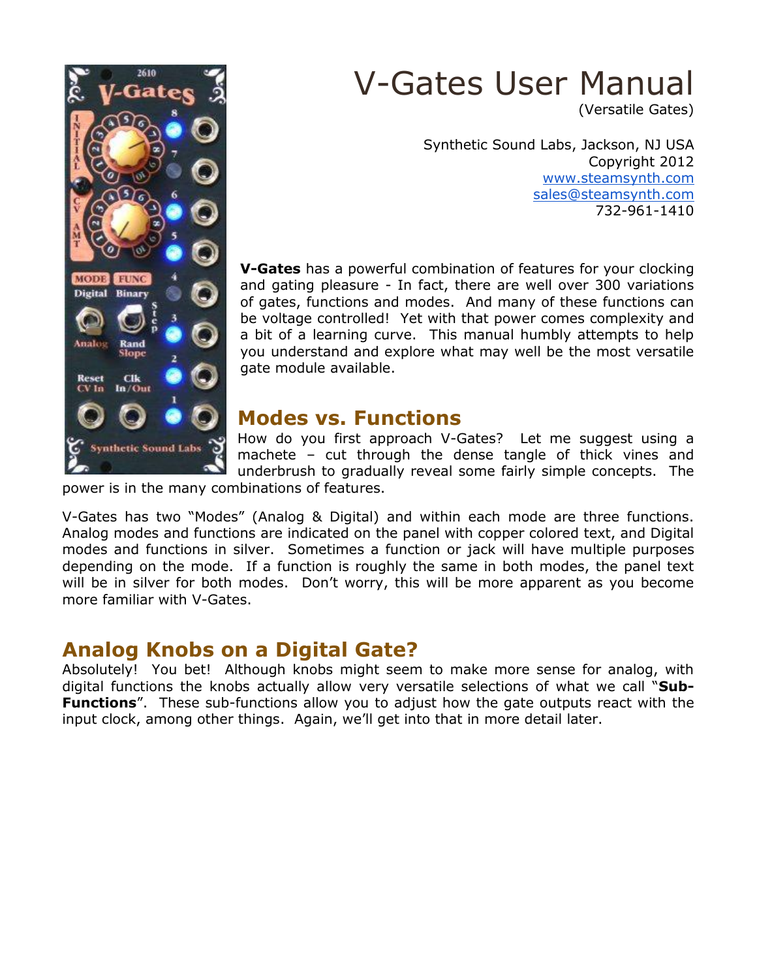

# V-Gates User Manual

(Versatile Gates)

Synthetic Sound Labs, Jackson, NJ USA Copyright 2012 [www.steamsynth.com](http://www.steamsynth.com/) [sales@steamsynth.com](http://www.steamsynth.com/) 732-961-1410

**V-Gates** has a powerful combination of features for your clocking and gating pleasure - In fact, there are well over 300 variations of gates, functions and modes. And many of these functions can be voltage controlled! Yet with that power comes complexity and a bit of a learning curve. This manual humbly attempts to help you understand and explore what may well be the most versatile gate module available.

# **Modes vs. Functions**

How do you first approach V-Gates? Let me suggest using a machete – cut through the dense tangle of thick vines and underbrush to gradually reveal some fairly simple concepts. The

power is in the many combinations of features.

V-Gates has two "Modes" (Analog & Digital) and within each mode are three functions. Analog modes and functions are indicated on the panel with copper colored text, and Digital modes and functions in silver. Sometimes a function or jack will have multiple purposes depending on the mode. If a function is roughly the same in both modes, the panel text will be in silver for both modes. Don't worry, this will be more apparent as you become more familiar with V-Gates.

# **Analog Knobs on a Digital Gate?**

Absolutely! You bet! Although knobs might seem to make more sense for analog, with digital functions the knobs actually allow very versatile selections of what we call "**Sub-Functions**". These sub-functions allow you to adjust how the gate outputs react with the input clock, among other things. Again, we'll get into that in more detail later.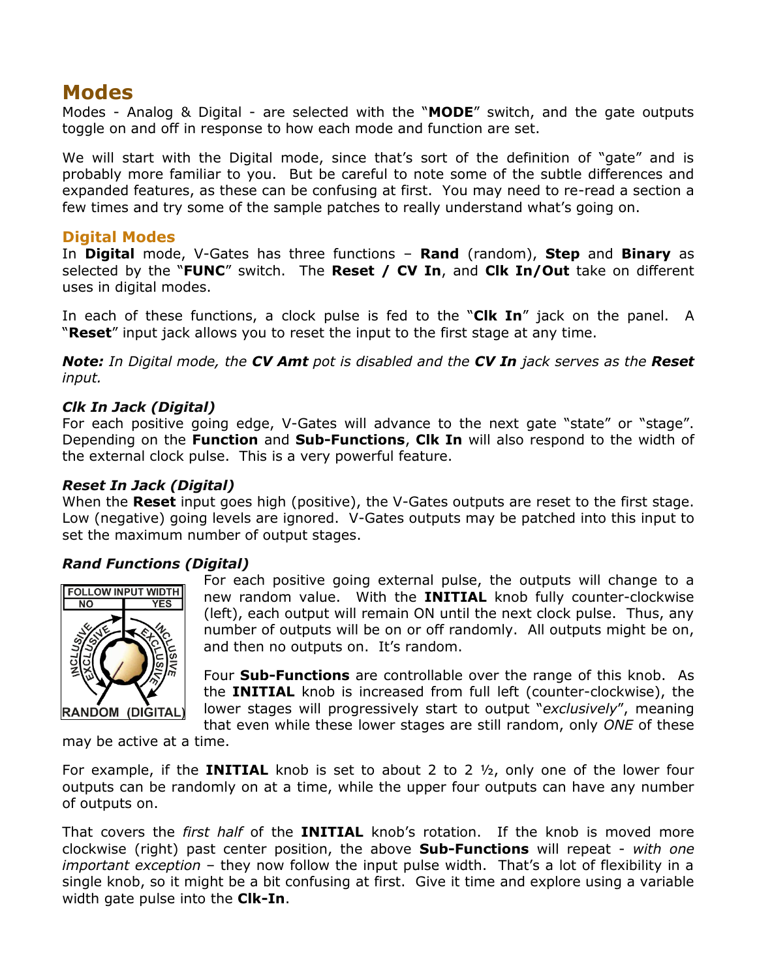# **Modes**

Modes - Analog & Digital - are selected with the "**MODE**" switch, and the gate outputs toggle on and off in response to how each mode and function are set.

We will start with the Digital mode, since that's sort of the definition of "gate" and is probably more familiar to you. But be careful to note some of the subtle differences and expanded features, as these can be confusing at first. You may need to re-read a section a few times and try some of the sample patches to really understand what's going on.

#### **Digital Modes**

In **Digital** mode, V-Gates has three functions – **Rand** (random), **Step** and **Binary** as selected by the "**FUNC**" switch. The **Reset / CV In**, and **Clk In/Out** take on different uses in digital modes.

In each of these functions, a clock pulse is fed to the "**Clk In**" jack on the panel. A "**Reset**" input jack allows you to reset the input to the first stage at any time.

*Note: In Digital mode, the CV Amt pot is disabled and the CV In jack serves as the Reset input.*

#### *Clk In Jack (Digital)*

For each positive going edge, V-Gates will advance to the next gate "state" or "stage". Depending on the **Function** and **Sub-Functions**, **Clk In** will also respond to the width of the external clock pulse. This is a very powerful feature.

#### *Reset In Jack (Digital)*

When the **Reset** input goes high (positive), the V-Gates outputs are reset to the first stage. Low (negative) going levels are ignored. V-Gates outputs may be patched into this input to set the maximum number of output stages.

#### *Rand Functions (Digital)*



For each positive going external pulse, the outputs will change to a new random value. With the **INITIAL** knob fully counter-clockwise (left), each output will remain ON until the next clock pulse. Thus, any number of outputs will be on or off randomly. All outputs might be on, and then no outputs on. It's random.

Four **Sub-Functions** are controllable over the range of this knob. As the **INITIAL** knob is increased from full left (counter-clockwise), the lower stages will progressively start to output "*exclusively*", meaning that even while these lower stages are still random, only *ONE* of these

may be active at a time.

For example, if the **INITIAL** knob is set to about 2 to 2 ½, only one of the lower four outputs can be randomly on at a time, while the upper four outputs can have any number of outputs on.

That covers the *first half* of the **INITIAL** knob's rotation. If the knob is moved more clockwise (right) past center position, the above **Sub-Functions** will repeat - *with one important exception* – they now follow the input pulse width. That's a lot of flexibility in a single knob, so it might be a bit confusing at first. Give it time and explore using a variable width gate pulse into the **Clk-In**.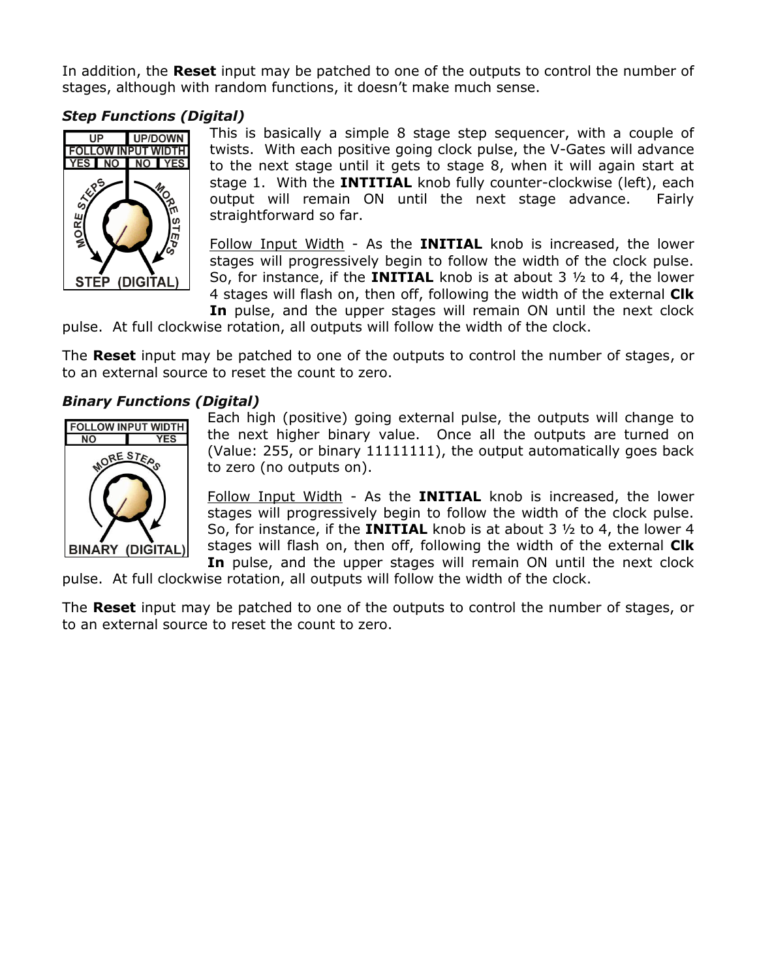In addition, the **Reset** input may be patched to one of the outputs to control the number of stages, although with random functions, it doesn't make much sense.

## *Step Functions (Digital)*



This is basically a simple 8 stage step sequencer, with a couple of twists. With each positive going clock pulse, the V-Gates will advance to the next stage until it gets to stage 8, when it will again start at stage 1. With the **INTITIAL** knob fully counter-clockwise (left), each output will remain ON until the next stage advance. Fairly straightforward so far.

Follow Input Width - As the **INITIAL** knob is increased, the lower stages will progressively begin to follow the width of the clock pulse. So, for instance, if the **INITIAL** knob is at about 3 ½ to 4, the lower 4 stages will flash on, then off, following the width of the external **Clk In** pulse, and the upper stages will remain ON until the next clock

pulse. At full clockwise rotation, all outputs will follow the width of the clock.

The **Reset** input may be patched to one of the outputs to control the number of stages, or to an external source to reset the count to zero.

#### *Binary Functions (Digital)*



Each high (positive) going external pulse, the outputs will change to the next higher binary value. Once all the outputs are turned on (Value: 255, or binary 11111111), the output automatically goes back to zero (no outputs on).

Follow Input Width - As the **INITIAL** knob is increased, the lower stages will progressively begin to follow the width of the clock pulse. So, for instance, if the **INITIAL** knob is at about 3 ½ to 4, the lower 4 stages will flash on, then off, following the width of the external **Clk In** pulse, and the upper stages will remain ON until the next clock

pulse. At full clockwise rotation, all outputs will follow the width of the clock.

The **Reset** input may be patched to one of the outputs to control the number of stages, or to an external source to reset the count to zero.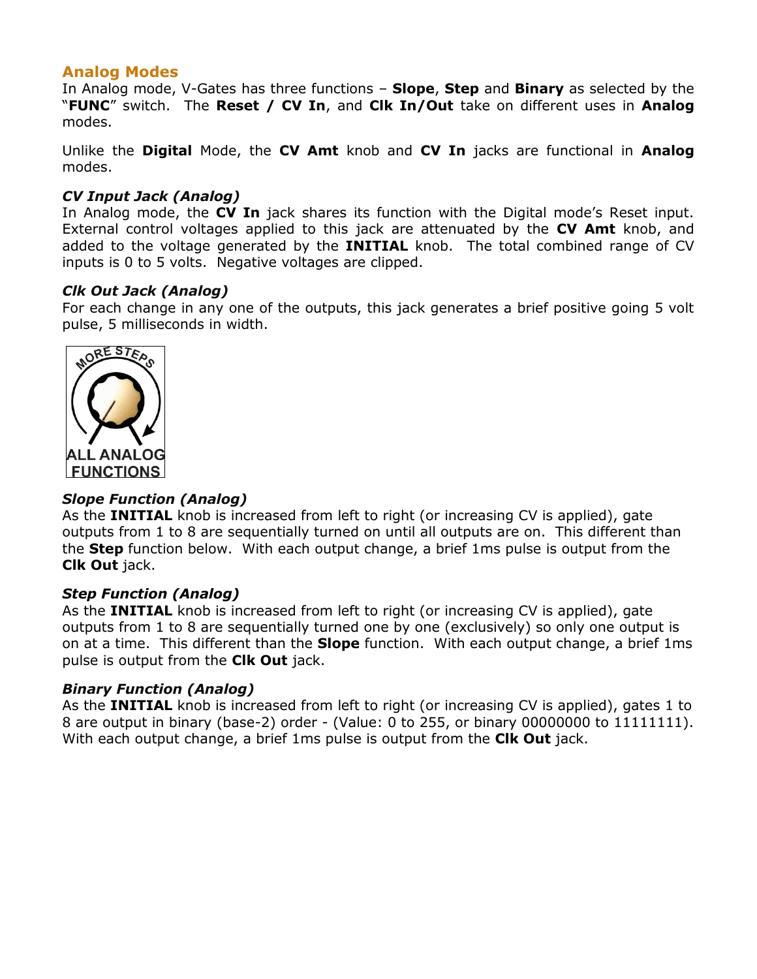### **Analog Modes**

In Analog mode, V-Gates has three functions – **Slope**, **Step** and **Binary** as selected by the "**FUNC**" switch. The **Reset / CV In**, and **Clk In/Out** take on different uses in **Analog** modes.

Unlike the **Digital** Mode, the **CV Amt** knob and **CV In** jacks are functional in **Analog** modes.

#### *CV Input Jack (Analog)*

In Analog mode, the **CV In** jack shares its function with the Digital mode's Reset input. External control voltages applied to this jack are attenuated by the **CV Amt** knob, and added to the voltage generated by the **INITIAL** knob. The total combined range of CV inputs is 0 to 5 volts. Negative voltages are clipped.

#### *Clk Out Jack (Analog)*

For each change in any one of the outputs, this jack generates a brief positive going 5 volt pulse, 5 milliseconds in width.



#### *Slope Function (Analog)*

As the **INITIAL** knob is increased from left to right (or increasing CV is applied), gate outputs from 1 to 8 are sequentially turned on until all outputs are on. This different than the **Step** function below. With each output change, a brief 1ms pulse is output from the **Clk Out** jack.

#### *Step Function (Analog)*

As the **INITIAL** knob is increased from left to right (or increasing CV is applied), gate outputs from 1 to 8 are sequentially turned one by one (exclusively) so only one output is on at a time. This different than the **Slope** function. With each output change, a brief 1ms pulse is output from the **Clk Out** jack.

#### *Binary Function (Analog)*

As the **INITIAL** knob is increased from left to right (or increasing CV is applied), gates 1 to 8 are output in binary (base-2) order - (Value: 0 to 255, or binary 00000000 to 11111111). With each output change, a brief 1ms pulse is output from the **Clk Out** jack.